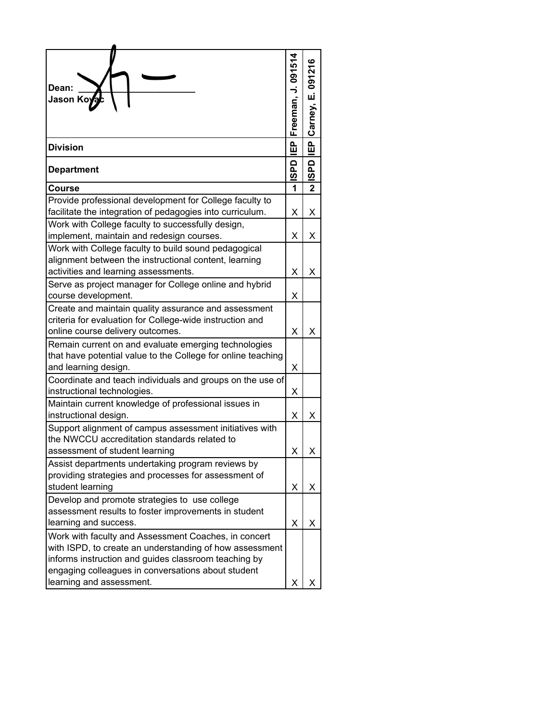| Dean:<br>Jason Ko <b>y</b> a                                                                                                                                                                                                                              | Freeman, J. 09151 | Carney, E. 091216 |
|-----------------------------------------------------------------------------------------------------------------------------------------------------------------------------------------------------------------------------------------------------------|-------------------|-------------------|
|                                                                                                                                                                                                                                                           |                   |                   |
| <b>Division</b>                                                                                                                                                                                                                                           | 。<br>凹            | IEP <sub></sub>   |
| <b>Department</b>                                                                                                                                                                                                                                         | <b>ISPD</b>       | <b>ISPD</b>       |
| <b>Course</b>                                                                                                                                                                                                                                             | 1                 | 2                 |
| Provide professional development for College faculty to<br>facilitate the integration of pedagogies into curriculum.                                                                                                                                      | X                 | Χ                 |
| Work with College faculty to successfully design,<br>implement, maintain and redesign courses.                                                                                                                                                            | X                 | X                 |
| Work with College faculty to build sound pedagogical<br>alignment between the instructional content, learning<br>activities and learning assessments.                                                                                                     | X                 | х                 |
| Serve as project manager for College online and hybrid<br>course development.                                                                                                                                                                             | х                 |                   |
| Create and maintain quality assurance and assessment<br>criteria for evaluation for College-wide instruction and<br>online course delivery outcomes.                                                                                                      | X                 | Χ                 |
| Remain current on and evaluate emerging technologies<br>that have potential value to the College for online teaching<br>and learning design.                                                                                                              | X                 |                   |
| Coordinate and teach individuals and groups on the use of<br>instructional technologies.                                                                                                                                                                  | х                 |                   |
| Maintain current knowledge of professional issues in<br>instructional design.                                                                                                                                                                             | Χ                 | х                 |
| Support alignment of campus assessment initiatives with<br>the NWCCU accreditation standards related to<br>assessment of student learning                                                                                                                 | Χ                 |                   |
| Assist departments undertaking program reviews by<br>providing strategies and processes for assessment of<br>student learning                                                                                                                             | X                 | X                 |
| Develop and promote strategies to use college<br>assessment results to foster improvements in student<br>learning and success.                                                                                                                            | X                 | х                 |
| Work with faculty and Assessment Coaches, in concert<br>with ISPD, to create an understanding of how assessment<br>informs instruction and guides classroom teaching by<br>engaging colleagues in conversations about student<br>learning and assessment. | х                 |                   |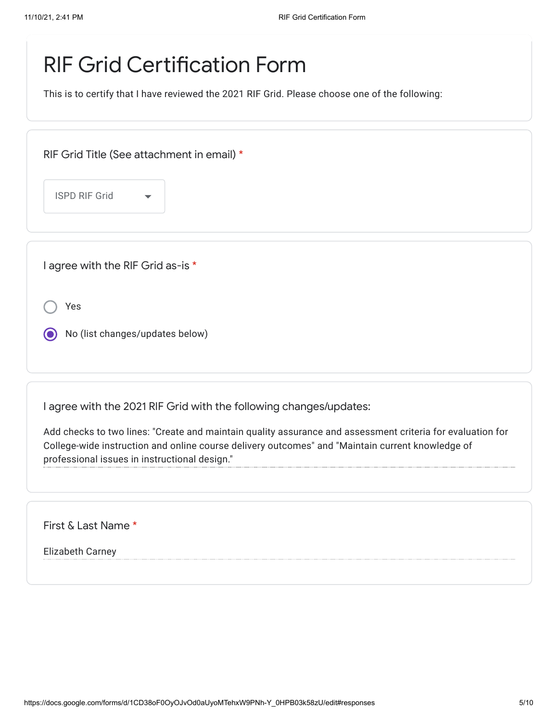## RIF Grid Certification Form

This is to certify that I have reviewed the 2021 RIF Grid. Please choose one of the following:

| RIF Grid Title (See attachment in email) * |                                 |  |  |
|--------------------------------------------|---------------------------------|--|--|
| <b>ISPD RIF Grid</b>                       | $\blacktriangledown$            |  |  |
|                                            |                                 |  |  |
| I agree with the RIF Grid as-is *          |                                 |  |  |
| Yes                                        |                                 |  |  |
|                                            | No (list changes/updates below) |  |  |

I agree with the 2021 RIF Grid with the following changes/updates:

Add checks to two lines: "Create and maintain quality assurance and assessment criteria for evaluation for College-wide instruction and online course delivery outcomes" and "Maintain current knowledge of professional issues in instructional design."

First & Last Name \*

Elizabeth Carney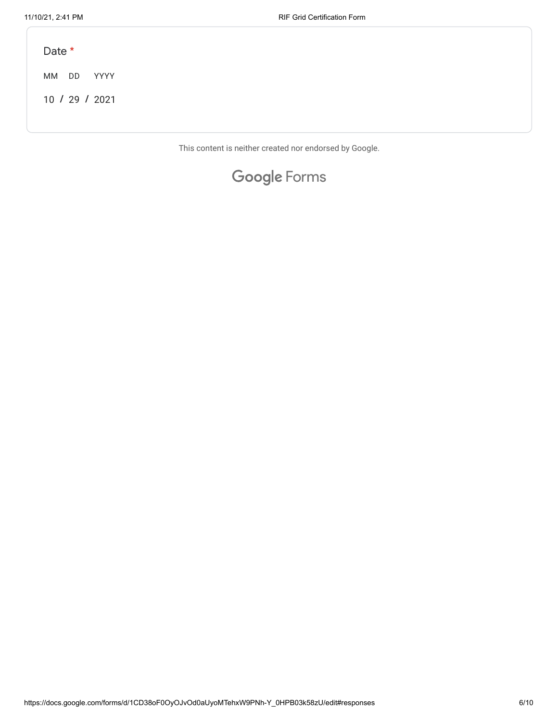MM DD **/ /** 10 29 2021 YYYY Date \*

This content is neither created nor endorsed by Google.

## Google [Forms](https://www.google.com/forms/about/?utm_source=product&utm_medium=forms_logo&utm_campaign=forms)